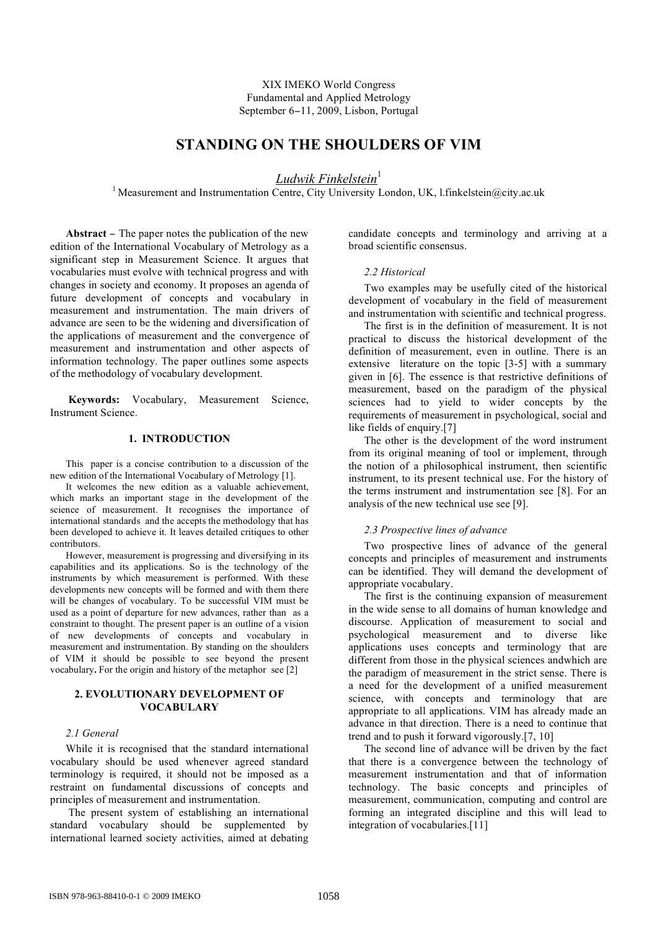XIX IMEKO World Congress Fundamental and Applied Metrology September 6−11, 2009, Lisbon, Portugal

# **STANDING ON THE SHOULDERS OF VIM**

*Ludwik Finkelstein* 1

<sup>1</sup> Measurement and Instrumentation Centre, City University London, UK, l.finkelstein@city.ac.uk

**Abstract** − The paper notes the publication of the new edition of the International Vocabulary of Metrology as a significant step in Measurement Science. It argues that vocabularies must evolve with technical progress and with changes in society and economy. It proposes an agenda of future development of concepts and vocabulary in measurement and instrumentation. The main drivers of advance are seen to be the widening and diversification of the applications of measurement and the convergence of measurement and instrumentation and other aspects of information technology. The paper outlines some aspects of the methodology of vocabulary development.

**Keywords:** Vocabulary, Measurement Science, Instrument Science.

# **1. INTRODUCTION**

This paper is a concise contribution to a discussion of the new edition of the International Vocabulary of Metrology [1].

It welcomes the new edition as a valuable achievement, which marks an important stage in the development of the science of measurement. It recognises the importance of international standards and the accepts the methodology that has been developed to achieve it. It leaves detailed critiques to other contributors.

However, measurement is progressing and diversifying in its capabilities and its applications. So is the technology of the instruments by which measurement is performed. With these developments new concepts will be formed and with them there will be changes of vocabulary. To be successful VIM must be used as a point of departure for new advances, rather than as a constraint to thought. The present paper is an outline of a vision of new developments of concepts and vocabulary in measurement and instrumentation. By standing on the shoulders of VIM it should be possible to see beyond the present vocabulary**.** For the origin and history of the metaphor see [2]

# **2. EVOLUTIONARY DEVELOPMENT OF VOCABULARY**

# *2.1 General*

While it is recognised that the standard international vocabulary should be used whenever agreed standard terminology is required, it should not be imposed as a restraint on fundamental discussions of concepts and principles of measurement and instrumentation.

The present system of establishing an international standard vocabulary should be supplemented by international learned society activities, aimed at debating candidate concepts and terminology and arriving at a broad scientific consensus.

### *2.2 Historical*

Two examples may be usefully cited of the historical development of vocabulary in the field of measurement and instrumentation with scientific and technical progress.

The first is in the definition of measurement. It is not practical to discuss the historical development of the definition of measurement, even in outline. There is an extensive literature on the topic [3-5] with a summary given in [6]. The essence is that restrictive definitions of measurement, based on the paradigm of the physical sciences had to yield to wider concepts by the requirements of measurement in psychological, social and like fields of enquiry.[7]

The other is the development of the word instrument from its original meaning of tool or implement, through the notion of a philosophical instrument, then scientific instrument, to its present technical use. For the history of the terms instrument and instrumentation see [8]. For an analysis of the new technical use see [9].

### *2.3 Prospective lines of advance*

Two prospective lines of advance of the general concepts and principles of measurement and instruments can be identified. They will demand the development of appropriate vocabulary.

The first is the continuing expansion of measurement in the wide sense to all domains of human knowledge and discourse. Application of measurement to social and psychological measurement and to diverse like applications uses concepts and terminology that are different from those in the physical sciences andwhich are the paradigm of measurement in the strict sense. There is a need for the development of a unified measurement science, with concepts and terminology that are appropriate to all applications. VIM has already made an advance in that direction. There is a need to continue that trend and to push it forward vigorously.[7, 10]

The second line of advance will be driven by the fact that there is a convergence between the technology of measurement instrumentation and that of information technology. The basic concepts and principles of measurement, communication, computing and control are forming an integrated discipline and this will lead to integration of vocabularies.[11]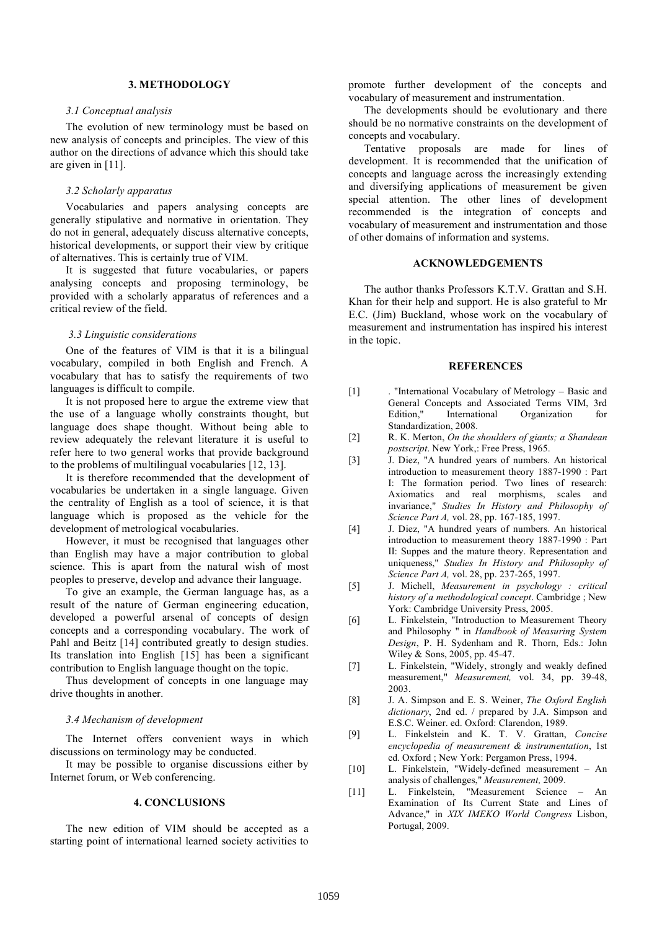# **3. METHODOLOGY**

#### *3.1 Conceptual analysis*

The evolution of new terminology must be based on new analysis of concepts and principles. The view of this author on the directions of advance which this should take are given in [11].

#### *3.2 Scholarly apparatus*

Vocabularies and papers analysing concepts are generally stipulative and normative in orientation. They do not in general, adequately discuss alternative concepts, historical developments, or support their view by critique of alternatives. This is certainly true of VIM.

It is suggested that future vocabularies, or papers analysing concepts and proposing terminology, be provided with a scholarly apparatus of references and a critical review of the field.

#### *3.3 Linguistic considerations*

One of the features of VIM is that it is a bilingual vocabulary, compiled in both English and French. A vocabulary that has to satisfy the requirements of two languages is difficult to compile.

It is not proposed here to argue the extreme view that the use of a language wholly constraints thought, but language does shape thought. Without being able to review adequately the relevant literature it is useful to refer here to two general works that provide background to the problems of multilingual vocabularies [12, 13].

It is therefore recommended that the development of vocabularies be undertaken in a single language. Given the centrality of English as a tool of science, it is that language which is proposed as the vehicle for the development of metrological vocabularies.

However, it must be recognised that languages other than English may have a major contribution to global science. This is apart from the natural wish of most peoples to preserve, develop and advance their language.

To give an example, the German language has, as a result of the nature of German engineering education, developed a powerful arsenal of concepts of design concepts and a corresponding vocabulary. The work of Pahl and Beitz [14] contributed greatly to design studies. Its translation into English [15] has been a significant contribution to English language thought on the topic.

Thus development of concepts in one language may drive thoughts in another.

### *3.4 Mechanism of development*

The Internet offers convenient ways in which discussions on terminology may be conducted.

It may be possible to organise discussions either by Internet forum, or Web conferencing.

# **4. CONCLUSIONS**

The new edition of VIM should be accepted as a starting point of international learned society activities to

promote further development of the concepts and vocabulary of measurement and instrumentation.

The developments should be evolutionary and there should be no normative constraints on the development of concepts and vocabulary.

Tentative proposals are made for lines of development. It is recommended that the unification of concepts and language across the increasingly extending and diversifying applications of measurement be given special attention. The other lines of development recommended is the integration of concepts and vocabulary of measurement and instrumentation and those of other domains of information and systems.

### **ACKNOWLEDGEMENTS**

The author thanks Professors K.T.V. Grattan and S.H. Khan for their help and support. He is also grateful to Mr E.C. (Jim) Buckland, whose work on the vocabulary of measurement and instrumentation has inspired his interest in the topic.

### **REFERENCES**

- [1] . "International Vocabulary of Metrology Basic and General Concepts and Associated Terms VIM, 3rd Edition," International Organization for Standardization, 2008.
- [2] R. K. Merton, *On the shoulders of giants; a Shandean postscript*. New York,: Free Press, 1965.
- [3] J. Diez, "A hundred years of numbers. An historical introduction to measurement theory 1887-1990 : Part I: The formation period. Two lines of research: Axiomatics and real morphisms, scales and invariance," *Studies In History and Philosophy of Science Part A,* vol. 28, pp. 167-185, 1997.
- [4] J. Diez, "A hundred years of numbers. An historical introduction to measurement theory 1887-1990 : Part II: Suppes and the mature theory. Representation and uniqueness," *Studies In History and Philosophy of Science Part A,* vol. 28, pp. 237-265, 1997.
- [5] J. Michell, *Measurement in psychology : critical history of a methodological concept*. Cambridge ; New York: Cambridge University Press, 2005.
- [6] L. Finkelstein, "Introduction to Measurement Theory and Philosophy " in *Handbook of Measuring System Design*, P. H. Sydenham and R. Thorn, Eds.: John Wiley & Sons, 2005, pp. 45-47.
- [7] L. Finkelstein, "Widely, strongly and weakly defined measurement," *Measurement,* vol. 34, pp. 39-48, 2003.
- [8] J. A. Simpson and E. S. Weiner, *The Oxford English dictionary*, 2nd ed. / prepared by J.A. Simpson and E.S.C. Weiner. ed. Oxford: Clarendon, 1989.
- [9] L. Finkelstein and K. T. V. Grattan, *Concise encyclopedia of measurement & instrumentation*, 1st ed. Oxford ; New York: Pergamon Press, 1994.
- [10] L. Finkelstein, "Widely-defined measurement An analysis of challenges," *Measurement,* 2009.
- [11] L. Finkelstein, "Measurement Science An Examination of Its Current State and Lines of Advance," in *XIX IMEKO World Congress* Lisbon, Portugal, 2009.